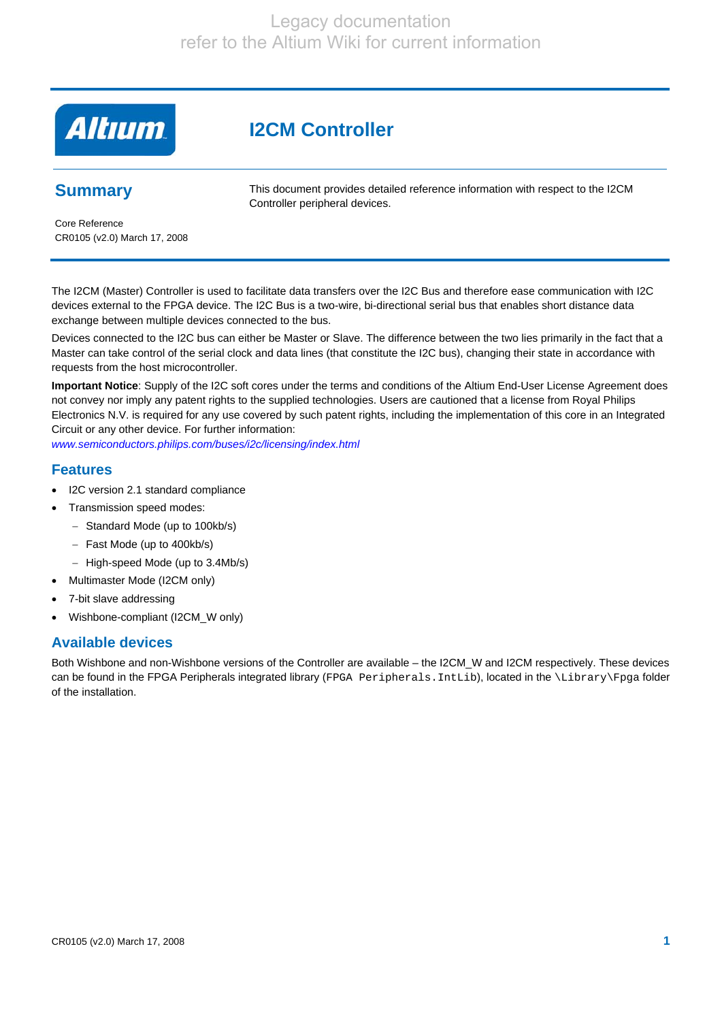**Altıum** 

## **Summary**

This document provides detailed reference information with respect to the I2CM Controller peripheral devices.

Core Reference CR0105 (v2.0) March 17, 2008

The I2CM (Master) Controller is used to facilitate data transfers over the I2C Bus and therefore ease communication with I2C devices external to the FPGA device. The I2C Bus is a two-wire, bi-directional serial bus that enables short distance data exchange between multiple devices connected to the bus.

Devices connected to the I2C bus can either be Master or Slave. The difference between the two lies primarily in the fact that a Master can take control of the serial clock and data lines (that constitute the I2C bus), changing their state in accordance with requests from the host microcontroller.

**Important Notice**: Supply of the I2C soft cores under the terms and conditions of the Altium End-User License Agreement does not convey nor imply any patent rights to the supplied technologies. Users are cautioned that a license from Royal Philips Electronics N.V. is required for any use covered by such patent rights, including the implementation of this core in an Integrated Circuit or any other device. For further information:

*[www.semiconductors.philips.com/buses/i2c/licensing/index.html](http://www.semiconductors.philips.com/buses/i2c/licensing/index.html)*

### **Features**

- I2C version 2.1 standard compliance
- Transmission speed modes:
	- − Standard Mode (up to 100kb/s)
	- − Fast Mode (up to 400kb/s)
	- − High-speed Mode (up to 3.4Mb/s)
- Multimaster Mode (I2CM only)
- 7-bit slave addressing
- Wishbone-compliant (I2CM\_W only)

### **Available devices**

Both Wishbone and non-Wishbone versions of the Controller are available – the I2CM\_W and I2CM respectively. These devices can be found in the FPGA Peripherals integrated library (FPGA Peripherals.IntLib), located in the \Library\Fpga folder of the installation.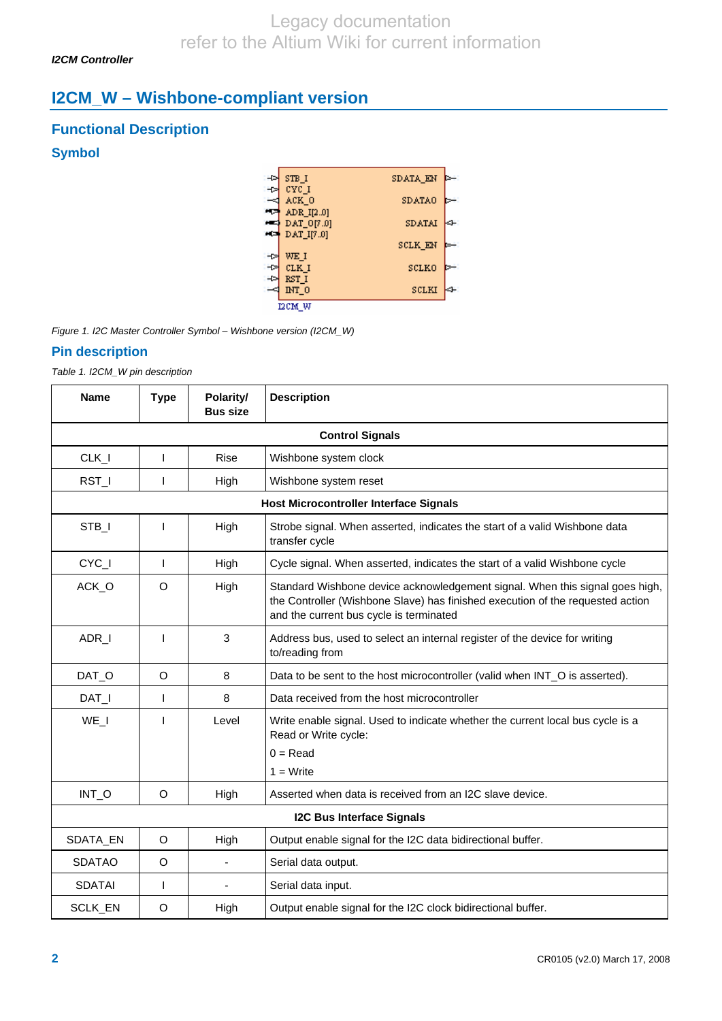# **I2CM\_W – Wishbone-compliant version**

### **Functional Description**

### **Symbol**



*Figure 1. I2C Master Controller Symbol – Wishbone version (I2CM\_W)* 

### **Pin description**

*Table 1. I2CM\_W pin description* 

| <b>Name</b>      | <b>Type</b>                      | Polarity/<br><b>Bus size</b> | <b>Description</b>                                                                                                                                                                                        |
|------------------|----------------------------------|------------------------------|-----------------------------------------------------------------------------------------------------------------------------------------------------------------------------------------------------------|
|                  | <b>Control Signals</b>           |                              |                                                                                                                                                                                                           |
| CLK_I            | $\mathsf{I}$                     | Rise                         | Wishbone system clock                                                                                                                                                                                     |
| RST_I            | ı                                | High                         | Wishbone system reset                                                                                                                                                                                     |
|                  |                                  |                              | <b>Host Microcontroller Interface Signals</b>                                                                                                                                                             |
| STB <sub>I</sub> |                                  | High                         | Strobe signal. When asserted, indicates the start of a valid Wishbone data<br>transfer cycle                                                                                                              |
| CYC_I            | ı                                | High                         | Cycle signal. When asserted, indicates the start of a valid Wishbone cycle                                                                                                                                |
| ACK_O            | $\circ$                          | High                         | Standard Wishbone device acknowledgement signal. When this signal goes high,<br>the Controller (Wishbone Slave) has finished execution of the requested action<br>and the current bus cycle is terminated |
| ADR_I            | $\mathbf{I}$                     | 3                            | Address bus, used to select an internal register of the device for writing<br>to/reading from                                                                                                             |
| DAT_O            | $\circ$                          | 8                            | Data to be sent to the host microcontroller (valid when INT_O is asserted).                                                                                                                               |
| DAT_I            | ı                                | 8                            | Data received from the host microcontroller                                                                                                                                                               |
| WE_I             |                                  | Level                        | Write enable signal. Used to indicate whether the current local bus cycle is a<br>Read or Write cycle:                                                                                                    |
|                  |                                  |                              | $0 = Read$                                                                                                                                                                                                |
|                  |                                  |                              | $1 = Write$                                                                                                                                                                                               |
| INT_O            | O                                | High                         | Asserted when data is received from an I2C slave device.                                                                                                                                                  |
|                  | <b>I2C Bus Interface Signals</b> |                              |                                                                                                                                                                                                           |
| SDATA_EN         | $\circ$                          | High                         | Output enable signal for the I2C data bidirectional buffer.                                                                                                                                               |
| <b>SDATAO</b>    | $\circ$                          |                              | Serial data output.                                                                                                                                                                                       |
| <b>SDATAI</b>    | ı                                |                              | Serial data input.                                                                                                                                                                                        |
| SCLK_EN          | O                                | High                         | Output enable signal for the I2C clock bidirectional buffer.                                                                                                                                              |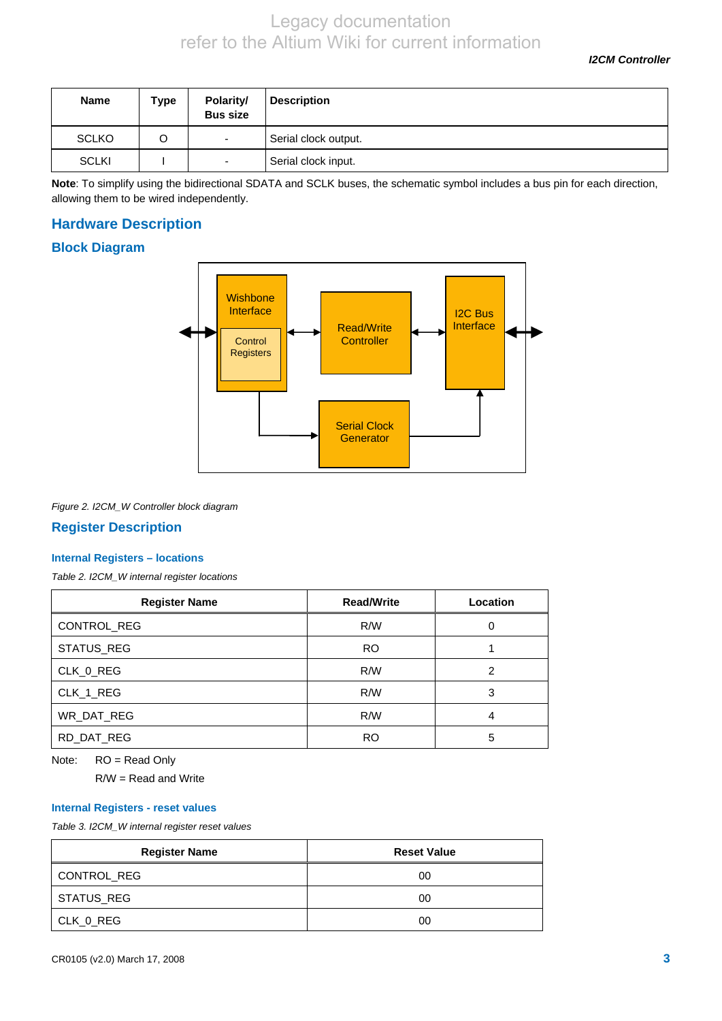*I2CM Controller* 

| <b>Name</b>  | Type | Polarity/<br><b>Bus size</b> | <b>Description</b>   |
|--------------|------|------------------------------|----------------------|
| <b>SCLKO</b> | O    | $\overline{\phantom{0}}$     | Serial clock output. |
| <b>SCLKI</b> |      | -                            | Serial clock input.  |

**Note**: To simplify using the bidirectional SDATA and SCLK buses, the schematic symbol includes a bus pin for each direction, allowing them to be wired independently.

### **Hardware Description**

### **Block Diagram**



*Figure 2. I2CM\_W Controller block diagram* 

### **Register Description**

#### **Internal Registers – locations**

*Table 2. I2CM\_W internal register locations* 

| <b>Register Name</b> | <b>Read/Write</b> | Location |
|----------------------|-------------------|----------|
| CONTROL_REG          | R/W               |          |
| STATUS_REG           | <b>RO</b>         |          |
| CLK 0 REG            | R/W               | 2        |
| CLK 1 REG            | R/W               | 3        |
| WR_DAT_REG           | R/W               | 4        |
| RD_DAT_REG           | <b>RO</b>         | 5        |

Note: RO = Read Only

R/W = Read and Write

#### **Internal Registers - reset values**

*Table 3. I2CM\_W internal register reset values* 

| <b>Register Name</b> | <b>Reset Value</b> |
|----------------------|--------------------|
| CONTROL REG          | 00                 |
| STATUS_REG           | 00                 |
| CLK_0_REG            | 00                 |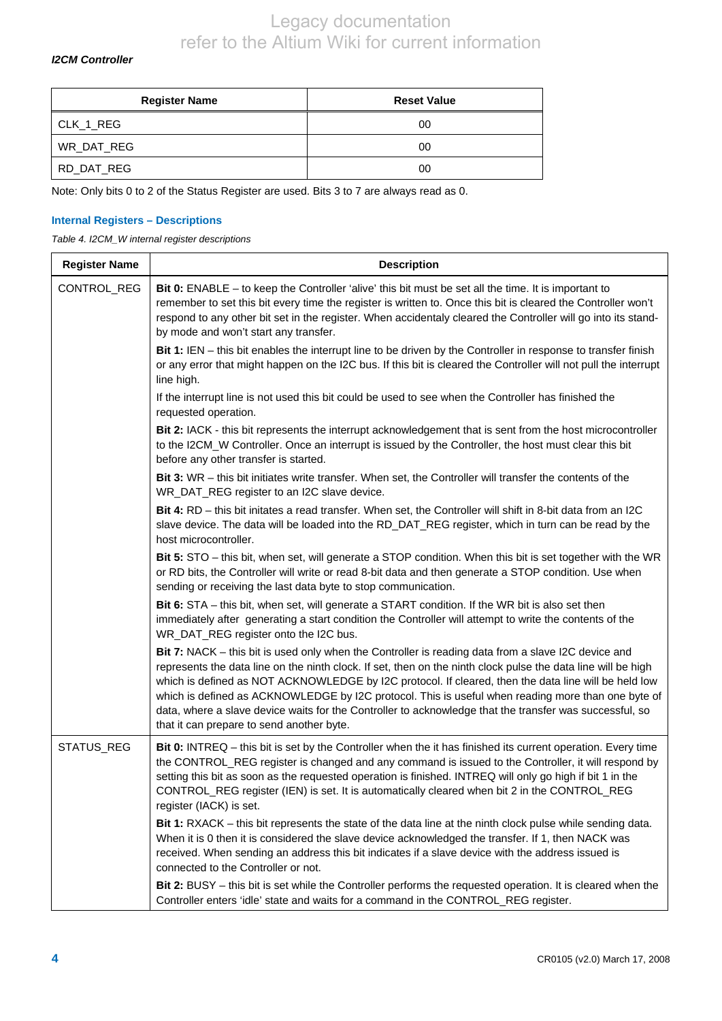#### *I2CM Controller*

| <b>Register Name</b> | <b>Reset Value</b> |
|----------------------|--------------------|
| CLK_1_REG            | 00                 |
| WR_DAT_REG           | 00                 |
| RD_DAT_REG           | 00                 |

Note: Only bits 0 to 2 of the Status Register are used. Bits 3 to 7 are always read as 0.

#### **Internal Registers – Descriptions**

*Table 4. I2CM\_W internal register descriptions* 

| <b>Register Name</b> | <b>Description</b>                                                                                                                                                                                                                                                                                                                                                                                                                                                                                                                                                                         |
|----------------------|--------------------------------------------------------------------------------------------------------------------------------------------------------------------------------------------------------------------------------------------------------------------------------------------------------------------------------------------------------------------------------------------------------------------------------------------------------------------------------------------------------------------------------------------------------------------------------------------|
| CONTROL_REG          | Bit 0: ENABLE – to keep the Controller 'alive' this bit must be set all the time. It is important to<br>remember to set this bit every time the register is written to. Once this bit is cleared the Controller won't<br>respond to any other bit set in the register. When accidentaly cleared the Controller will go into its stand-<br>by mode and won't start any transfer.                                                                                                                                                                                                            |
|                      | Bit 1: IEN – this bit enables the interrupt line to be driven by the Controller in response to transfer finish<br>or any error that might happen on the I2C bus. If this bit is cleared the Controller will not pull the interrupt<br>line high.                                                                                                                                                                                                                                                                                                                                           |
|                      | If the interrupt line is not used this bit could be used to see when the Controller has finished the<br>requested operation.                                                                                                                                                                                                                                                                                                                                                                                                                                                               |
|                      | Bit 2: IACK - this bit represents the interrupt acknowledgement that is sent from the host microcontroller<br>to the I2CM_W Controller. Once an interrupt is issued by the Controller, the host must clear this bit<br>before any other transfer is started.                                                                                                                                                                                                                                                                                                                               |
|                      | Bit 3: WR – this bit initiates write transfer. When set, the Controller will transfer the contents of the<br>WR_DAT_REG register to an I2C slave device.                                                                                                                                                                                                                                                                                                                                                                                                                                   |
|                      | Bit 4: RD – this bit initates a read transfer. When set, the Controller will shift in 8-bit data from an I2C<br>slave device. The data will be loaded into the RD_DAT_REG register, which in turn can be read by the<br>host microcontroller.                                                                                                                                                                                                                                                                                                                                              |
|                      | Bit 5: STO - this bit, when set, will generate a STOP condition. When this bit is set together with the WR<br>or RD bits, the Controller will write or read 8-bit data and then generate a STOP condition. Use when<br>sending or receiving the last data byte to stop communication.                                                                                                                                                                                                                                                                                                      |
|                      | <b>Bit 6:</b> STA – this bit, when set, will generate a START condition. If the WR bit is also set then<br>immediately after generating a start condition the Controller will attempt to write the contents of the<br>WR_DAT_REG register onto the I2C bus.                                                                                                                                                                                                                                                                                                                                |
|                      | Bit 7: NACK – this bit is used only when the Controller is reading data from a slave I2C device and<br>represents the data line on the ninth clock. If set, then on the ninth clock pulse the data line will be high<br>which is defined as NOT ACKNOWLEDGE by I2C protocol. If cleared, then the data line will be held low<br>which is defined as ACKNOWLEDGE by I2C protocol. This is useful when reading more than one byte of<br>data, where a slave device waits for the Controller to acknowledge that the transfer was successful, so<br>that it can prepare to send another byte. |
| STATUS_REG           | Bit 0: INTREQ – this bit is set by the Controller when the it has finished its current operation. Every time<br>the CONTROL_REG register is changed and any command is issued to the Controller, it will respond by<br>setting this bit as soon as the requested operation is finished. INTREQ will only go high if bit 1 in the<br>CONTROL_REG register (IEN) is set. It is automatically cleared when bit 2 in the CONTROL_REG<br>register (IACK) is set.                                                                                                                                |
|                      | Bit 1: RXACK - this bit represents the state of the data line at the ninth clock pulse while sending data.<br>When it is 0 then it is considered the slave device acknowledged the transfer. If 1, then NACK was<br>received. When sending an address this bit indicates if a slave device with the address issued is<br>connected to the Controller or not.                                                                                                                                                                                                                               |
|                      | Bit 2: BUSY – this bit is set while the Controller performs the requested operation. It is cleared when the<br>Controller enters 'idle' state and waits for a command in the CONTROL_REG register.                                                                                                                                                                                                                                                                                                                                                                                         |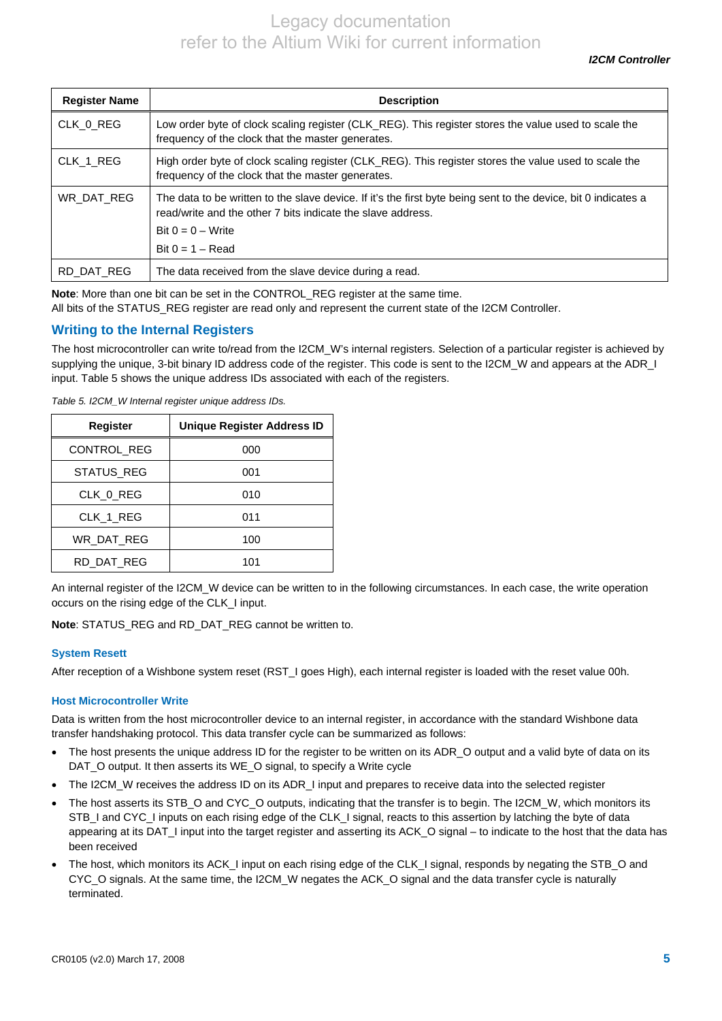| <b>Register Name</b> | <b>Description</b>                                                                                                                                                                                    |
|----------------------|-------------------------------------------------------------------------------------------------------------------------------------------------------------------------------------------------------|
| CLK 0 REG            | Low order byte of clock scaling register (CLK_REG). This register stores the value used to scale the<br>frequency of the clock that the master generates.                                             |
| CLK_1_REG            | High order byte of clock scaling register (CLK_REG). This register stores the value used to scale the<br>frequency of the clock that the master generates.                                            |
| WR DAT REG           | The data to be written to the slave device. If it's the first byte being sent to the device, bit 0 indicates a<br>read/write and the other 7 bits indicate the slave address.<br>Bit $0 = 0 - W$ rite |
|                      | Bit $0 = 1 - Read$                                                                                                                                                                                    |
| RD DAT REG           | The data received from the slave device during a read.                                                                                                                                                |

**Note**: More than one bit can be set in the CONTROL\_REG register at the same time.

All bits of the STATUS\_REG register are read only and represent the current state of the I2CM Controller.

### **Writing to the Internal Registers**

The host microcontroller can write to/read from the I2CM\_W's internal registers. Selection of a particular register is achieved by supplying the unique, 3-bit binary ID address code of the register. This code is sent to the I2CM\_W and appears at the ADR\_I input. Table 5 shows the unique address IDs associated with each of the registers.

*Table 5. I2CM\_W Internal register unique address IDs.* 

| Register           | Unique Register Address ID |
|--------------------|----------------------------|
| <b>CONTROL REG</b> | 000                        |
| <b>STATUS REG</b>  | 001                        |
| CLK 0 REG          | 010                        |
| CLK_1_REG          | 011                        |
| WR DAT REG         | 100                        |
| RD DAT REG         | 101                        |

An internal register of the I2CM\_W device can be written to in the following circumstances. In each case, the write operation occurs on the rising edge of the CLK\_I input.

**Note**: STATUS\_REG and RD\_DAT\_REG cannot be written to.

#### **System Resett**

After reception of a Wishbone system reset (RST\_I goes High), each internal register is loaded with the reset value 00h.

#### **Host Microcontroller Write**

Data is written from the host microcontroller device to an internal register, in accordance with the standard Wishbone data transfer handshaking protocol. This data transfer cycle can be summarized as follows:

- The host presents the unique address ID for the register to be written on its ADR\_O output and a valid byte of data on its DAT\_O output. It then asserts its WE\_O signal, to specify a Write cycle
- The I2CM\_W receives the address ID on its ADR\_I input and prepares to receive data into the selected register
- The host asserts its STB\_O and CYC\_O outputs, indicating that the transfer is to begin. The I2CM\_W, which monitors its STB\_I and CYC\_I inputs on each rising edge of the CLK\_I signal, reacts to this assertion by latching the byte of data appearing at its DAT\_I input into the target register and asserting its ACK\_O signal – to indicate to the host that the data has been received
- The host, which monitors its ACK\_I input on each rising edge of the CLK\_I signal, responds by negating the STB\_O and CYC\_O signals. At the same time, the I2CM\_W negates the ACK\_O signal and the data transfer cycle is naturally terminated.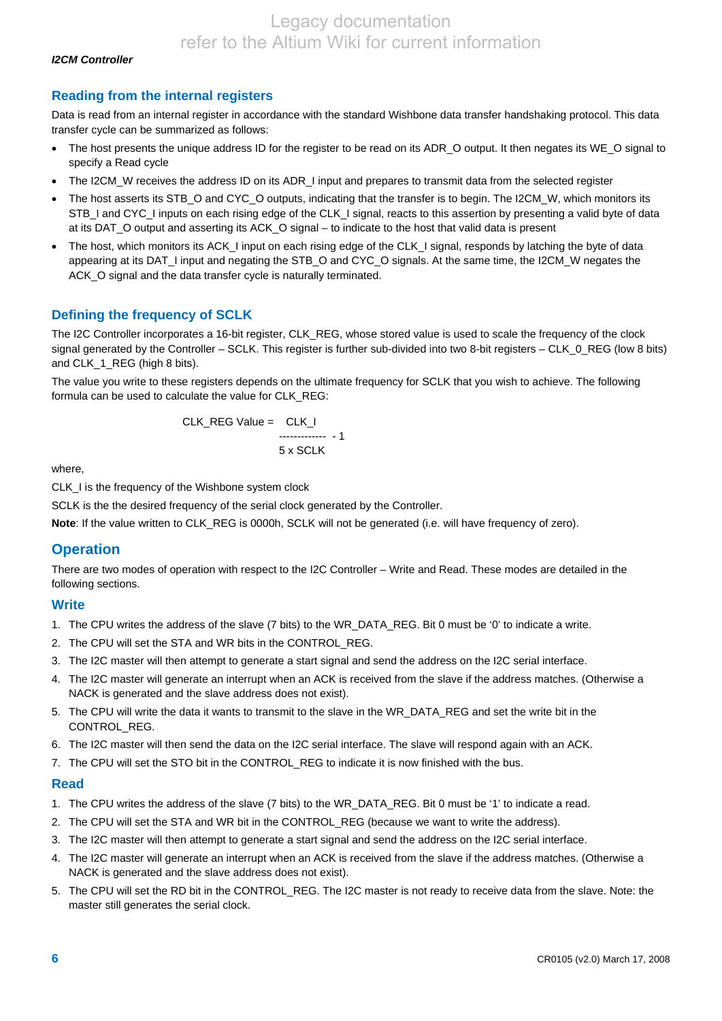#### *I2CM Controller*

### **Reading from the internal registers**

Data is read from an internal register in accordance with the standard Wishbone data transfer handshaking protocol. This data transfer cycle can be summarized as follows:

- The host presents the unique address ID for the register to be read on its ADR\_O output. It then negates its WE\_O signal to specify a Read cycle
- The I2CM W receives the address ID on its ADR I input and prepares to transmit data from the selected register
- The host asserts its STB\_O and CYC\_O outputs, indicating that the transfer is to begin. The I2CM\_W, which monitors its STB\_I and CYC\_I inputs on each rising edge of the CLK\_I signal, reacts to this assertion by presenting a valid byte of data at its DAT\_O output and asserting its ACK\_O signal – to indicate to the host that valid data is present
- The host, which monitors its ACK\_I input on each rising edge of the CLK\_I signal, responds by latching the byte of data appearing at its DAT\_I input and negating the STB\_O and CYC\_O signals. At the same time, the I2CM\_W negates the ACK O signal and the data transfer cycle is naturally terminated.

### **Defining the frequency of SCLK**

The I2C Controller incorporates a 16-bit register, CLK\_REG, whose stored value is used to scale the frequency of the clock signal generated by the Controller – SCLK. This register is further sub-divided into two 8-bit registers – CLK\_0\_REG (low 8 bits) and CLK\_1\_REG (high 8 bits).

The value you write to these registers depends on the ultimate frequency for SCLK that you wish to achieve. The following formula can be used to calculate the value for CLK\_REG:

CLK\_REG Value = CLK\_I ------------- - 1 5 x SCLK

where,

CLK I is the frequency of the Wishbone system clock

SCLK is the the desired frequency of the serial clock generated by the Controller.

**Note**: If the value written to CLK\_REG is 0000h, SCLK will not be generated (i.e. will have frequency of zero).

### **Operation**

There are two modes of operation with respect to the I2C Controller – Write and Read. These modes are detailed in the following sections.

### **Write**

- 1. The CPU writes the address of the slave (7 bits) to the WR\_DATA\_REG. Bit 0 must be '0' to indicate a write.
- 2. The CPU will set the STA and WR bits in the CONTROL\_REG.
- 3. The I2C master will then attempt to generate a start signal and send the address on the I2C serial interface.
- 4. The I2C master will generate an interrupt when an ACK is received from the slave if the address matches. (Otherwise a NACK is generated and the slave address does not exist).
- 5. The CPU will write the data it wants to transmit to the slave in the WR\_DATA\_REG and set the write bit in the CONTROL\_REG.
- 6. The I2C master will then send the data on the I2C serial interface. The slave will respond again with an ACK.
- 7. The CPU will set the STO bit in the CONTROL REG to indicate it is now finished with the bus.

### **Read**

- 1. The CPU writes the address of the slave (7 bits) to the WR\_DATA\_REG. Bit 0 must be '1' to indicate a read.
- 2. The CPU will set the STA and WR bit in the CONTROL\_REG (because we want to write the address).
- 3. The I2C master will then attempt to generate a start signal and send the address on the I2C serial interface.
- 4. The I2C master will generate an interrupt when an ACK is received from the slave if the address matches. (Otherwise a NACK is generated and the slave address does not exist).
- 5. The CPU will set the RD bit in the CONTROL\_REG. The I2C master is not ready to receive data from the slave. Note: the master still generates the serial clock.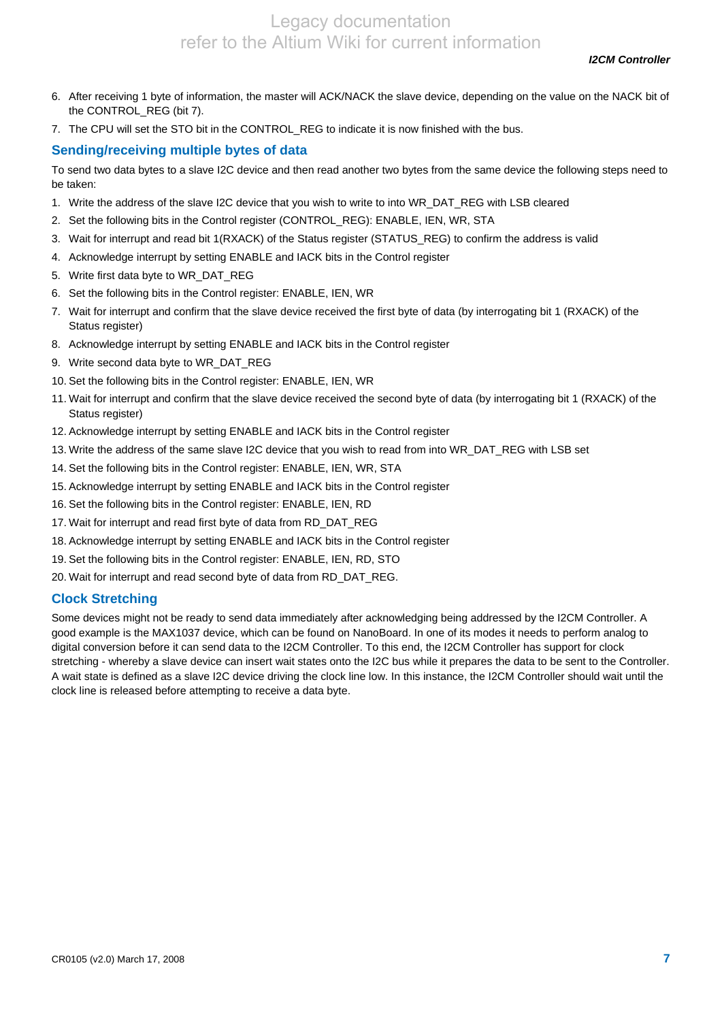*I2CM Controller* 

- 6. After receiving 1 byte of information, the master will ACK/NACK the slave device, depending on the value on the NACK bit of the CONTROL\_REG (bit 7).
- 7. The CPU will set the STO bit in the CONTROL REG to indicate it is now finished with the bus.

#### **Sending/receiving multiple bytes of data**

To send two data bytes to a slave I2C device and then read another two bytes from the same device the following steps need to be taken:

- 1. Write the address of the slave I2C device that you wish to write to into WR\_DAT\_REG with LSB cleared
- 2. Set the following bits in the Control register (CONTROL\_REG): ENABLE, IEN, WR, STA
- 3. Wait for interrupt and read bit 1(RXACK) of the Status register (STATUS\_REG) to confirm the address is valid
- 4. Acknowledge interrupt by setting ENABLE and IACK bits in the Control register
- 5. Write first data byte to WR\_DAT\_REG
- 6. Set the following bits in the Control register: ENABLE, IEN, WR
- 7. Wait for interrupt and confirm that the slave device received the first byte of data (by interrogating bit 1 (RXACK) of the Status register)
- 8. Acknowledge interrupt by setting ENABLE and IACK bits in the Control register
- 9. Write second data byte to WR\_DAT\_REG
- 10. Set the following bits in the Control register: ENABLE, IEN, WR
- 11. Wait for interrupt and confirm that the slave device received the second byte of data (by interrogating bit 1 (RXACK) of the Status register)
- 12. Acknowledge interrupt by setting ENABLE and IACK bits in the Control register
- 13. Write the address of the same slave I2C device that you wish to read from into WR\_DAT\_REG with LSB set
- 14. Set the following bits in the Control register: ENABLE, IEN, WR, STA
- 15. Acknowledge interrupt by setting ENABLE and IACK bits in the Control register
- 16. Set the following bits in the Control register: ENABLE, IEN, RD
- 17. Wait for interrupt and read first byte of data from RD\_DAT\_REG
- 18. Acknowledge interrupt by setting ENABLE and IACK bits in the Control register
- 19. Set the following bits in the Control register: ENABLE, IEN, RD, STO
- 20. Wait for interrupt and read second byte of data from RD\_DAT\_REG.

### **Clock Stretching**

Some devices might not be ready to send data immediately after acknowledging being addressed by the I2CM Controller. A good example is the MAX1037 device, which can be found on NanoBoard. In one of its modes it needs to perform analog to digital conversion before it can send data to the I2CM Controller. To this end, the I2CM Controller has support for clock stretching - whereby a slave device can insert wait states onto the I2C bus while it prepares the data to be sent to the Controller. A wait state is defined as a slave I2C device driving the clock line low. In this instance, the I2CM Controller should wait until the clock line is released before attempting to receive a data byte.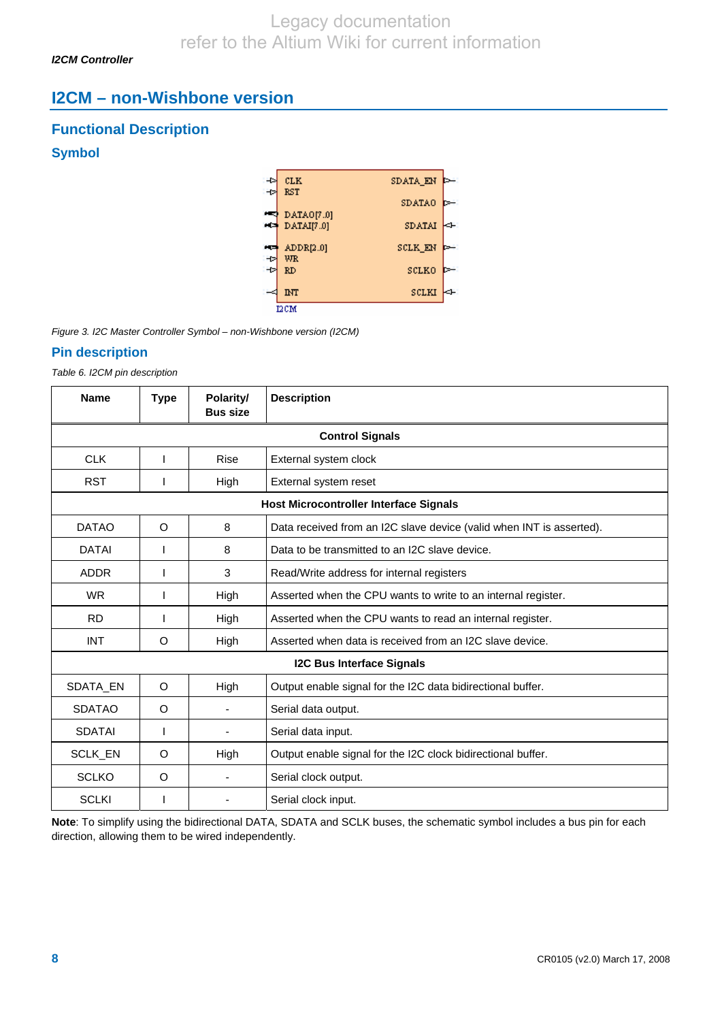# **I2CM – non-Wishbone version**

### **Functional Description**

### **Symbol**



*Figure 3. I2C Master Controller Symbol – non-Wishbone version (I2CM)* 

### **Pin description**

*Table 6. I2CM pin description* 

| <b>Name</b>   | <b>Type</b>                                   | Polarity/<br><b>Bus size</b> | <b>Description</b>                                                   |
|---------------|-----------------------------------------------|------------------------------|----------------------------------------------------------------------|
|               |                                               |                              | <b>Control Signals</b>                                               |
| <b>CLK</b>    |                                               | <b>Rise</b>                  | External system clock                                                |
| <b>RST</b>    |                                               | High                         | External system reset                                                |
|               | <b>Host Microcontroller Interface Signals</b> |                              |                                                                      |
| <b>DATAO</b>  | O                                             | 8                            | Data received from an I2C slave device (valid when INT is asserted). |
| <b>DATAI</b>  |                                               | 8                            | Data to be transmitted to an I2C slave device.                       |
| <b>ADDR</b>   |                                               | 3                            | Read/Write address for internal registers                            |
| <b>WR</b>     |                                               | High                         | Asserted when the CPU wants to write to an internal register.        |
| <b>RD</b>     |                                               | High                         | Asserted when the CPU wants to read an internal register.            |
| <b>INT</b>    | O                                             | High                         | Asserted when data is received from an I2C slave device.             |
|               |                                               |                              | <b>I2C Bus Interface Signals</b>                                     |
| SDATA_EN      | O                                             | High                         | Output enable signal for the I2C data bidirectional buffer.          |
| <b>SDATAO</b> | $\Omega$                                      |                              | Serial data output.                                                  |
| <b>SDATAI</b> |                                               | ٠                            | Serial data input.                                                   |
| SCLK_EN       | O                                             | High                         | Output enable signal for the I2C clock bidirectional buffer.         |
| <b>SCLKO</b>  | O                                             | ٠                            | Serial clock output.                                                 |
| <b>SCLKI</b>  |                                               | -                            | Serial clock input.                                                  |

**Note**: To simplify using the bidirectional DATA, SDATA and SCLK buses, the schematic symbol includes a bus pin for each direction, allowing them to be wired independently.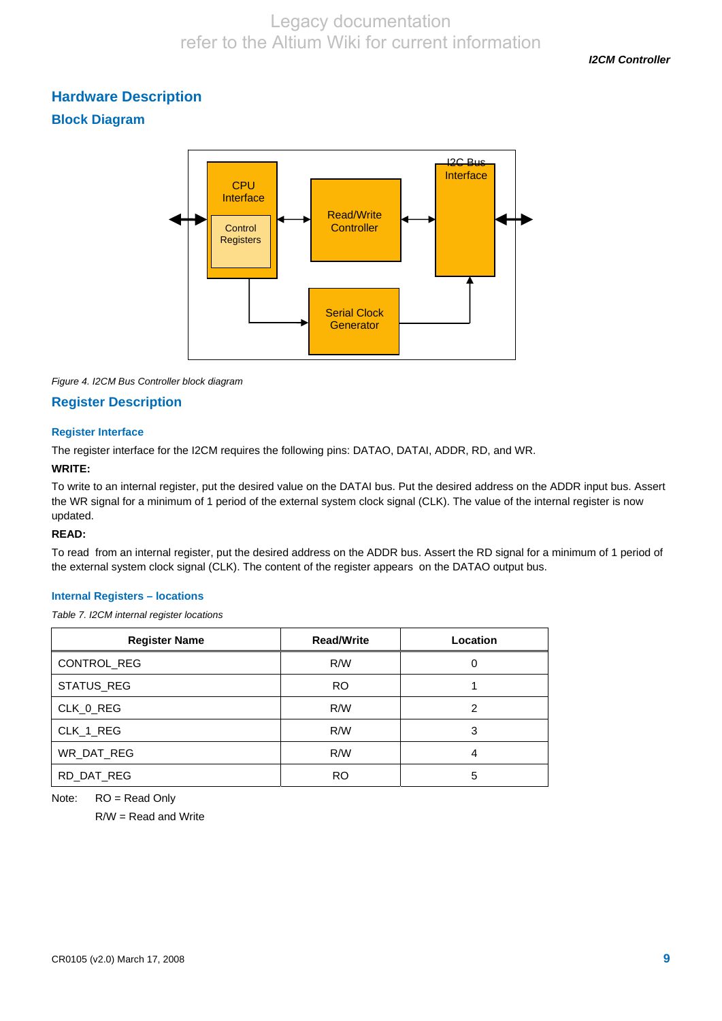*I2CM Controller* 

# **Hardware Description**

### **Block Diagram**



*Figure 4. I2CM Bus Controller block diagram* 

### **Register Description**

### **Register Interface**

The register interface for the I2CM requires the following pins: DATAO, DATAI, ADDR, RD, and WR.

### **WRITE:**

To write to an internal register, put the desired value on the DATAI bus. Put the desired address on the ADDR input bus. Assert the WR signal for a minimum of 1 period of the external system clock signal (CLK). The value of the internal register is now updated.

### **READ:**

To read from an internal register, put the desired address on the ADDR bus. Assert the RD signal for a minimum of 1 period of the external system clock signal (CLK). The content of the register appears on the DATAO output bus.

#### **Internal Registers – locations**

*Table 7. I2CM internal register locations* 

| <b>Register Name</b> | <b>Read/Write</b> | Location |
|----------------------|-------------------|----------|
| CONTROL_REG          | R/W               | 0        |
| STATUS_REG           | RO.               |          |
| CLK_0_REG            | R/W               | 2        |
| CLK_1_REG            | R/W               | 3        |
| WR_DAT_REG           | R/W               | 4        |
| RD_DAT_REG           | <b>RO</b>         | 5        |

Note: RO = Read Only

R/W = Read and Write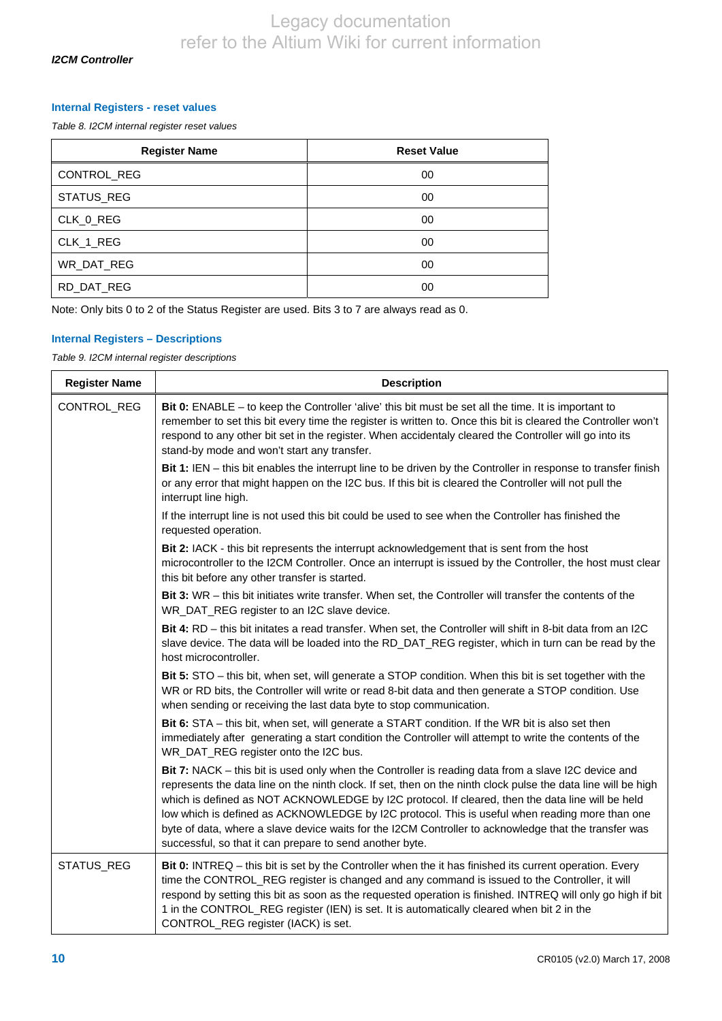#### **Internal Registers - reset values**

*Table 8. I2CM internal register reset values* 

| <b>Register Name</b> | <b>Reset Value</b> |
|----------------------|--------------------|
| CONTROL_REG          | 00                 |
| STATUS_REG           | 00                 |
| CLK_0_REG            | 00                 |
| CLK_1_REG            | 00                 |
| WR_DAT_REG           | 00                 |
| RD_DAT_REG           | 00                 |

Note: Only bits 0 to 2 of the Status Register are used. Bits 3 to 7 are always read as 0.

### **Internal Registers – Descriptions**

*Table 9. I2CM internal register descriptions* 

| <b>Register Name</b> | <b>Description</b>                                                                                                                                                                                                                                                                                                                                                                                                                                                                                                                                                                              |
|----------------------|-------------------------------------------------------------------------------------------------------------------------------------------------------------------------------------------------------------------------------------------------------------------------------------------------------------------------------------------------------------------------------------------------------------------------------------------------------------------------------------------------------------------------------------------------------------------------------------------------|
| CONTROL_REG          | Bit 0: ENABLE – to keep the Controller 'alive' this bit must be set all the time. It is important to<br>remember to set this bit every time the register is written to. Once this bit is cleared the Controller won't<br>respond to any other bit set in the register. When accidentaly cleared the Controller will go into its<br>stand-by mode and won't start any transfer.                                                                                                                                                                                                                  |
|                      | Bit 1: IEN - this bit enables the interrupt line to be driven by the Controller in response to transfer finish<br>or any error that might happen on the I2C bus. If this bit is cleared the Controller will not pull the<br>interrupt line high.                                                                                                                                                                                                                                                                                                                                                |
|                      | If the interrupt line is not used this bit could be used to see when the Controller has finished the<br>requested operation.                                                                                                                                                                                                                                                                                                                                                                                                                                                                    |
|                      | Bit 2: IACK - this bit represents the interrupt acknowledgement that is sent from the host<br>microcontroller to the I2CM Controller. Once an interrupt is issued by the Controller, the host must clear<br>this bit before any other transfer is started.                                                                                                                                                                                                                                                                                                                                      |
|                      | Bit 3: WR - this bit initiates write transfer. When set, the Controller will transfer the contents of the<br>WR_DAT_REG register to an I2C slave device.                                                                                                                                                                                                                                                                                                                                                                                                                                        |
|                      | Bit 4: RD - this bit initates a read transfer. When set, the Controller will shift in 8-bit data from an I2C<br>slave device. The data will be loaded into the RD_DAT_REG register, which in turn can be read by the<br>host microcontroller.                                                                                                                                                                                                                                                                                                                                                   |
|                      | Bit 5: STO - this bit, when set, will generate a STOP condition. When this bit is set together with the<br>WR or RD bits, the Controller will write or read 8-bit data and then generate a STOP condition. Use<br>when sending or receiving the last data byte to stop communication.                                                                                                                                                                                                                                                                                                           |
|                      | Bit 6: STA - this bit, when set, will generate a START condition. If the WR bit is also set then<br>immediately after generating a start condition the Controller will attempt to write the contents of the<br>WR_DAT_REG register onto the I2C bus.                                                                                                                                                                                                                                                                                                                                            |
|                      | Bit 7: NACK - this bit is used only when the Controller is reading data from a slave I2C device and<br>represents the data line on the ninth clock. If set, then on the ninth clock pulse the data line will be high<br>which is defined as NOT ACKNOWLEDGE by I2C protocol. If cleared, then the data line will be held<br>low which is defined as ACKNOWLEDGE by I2C protocol. This is useful when reading more than one<br>byte of data, where a slave device waits for the I2CM Controller to acknowledge that the transfer was<br>successful, so that it can prepare to send another byte. |
| STATUS_REG           | Bit 0: INTREQ - this bit is set by the Controller when the it has finished its current operation. Every<br>time the CONTROL_REG register is changed and any command is issued to the Controller, it will<br>respond by setting this bit as soon as the requested operation is finished. INTREQ will only go high if bit<br>1 in the CONTROL_REG register (IEN) is set. It is automatically cleared when bit 2 in the<br>CONTROL_REG register (IACK) is set.                                                                                                                                     |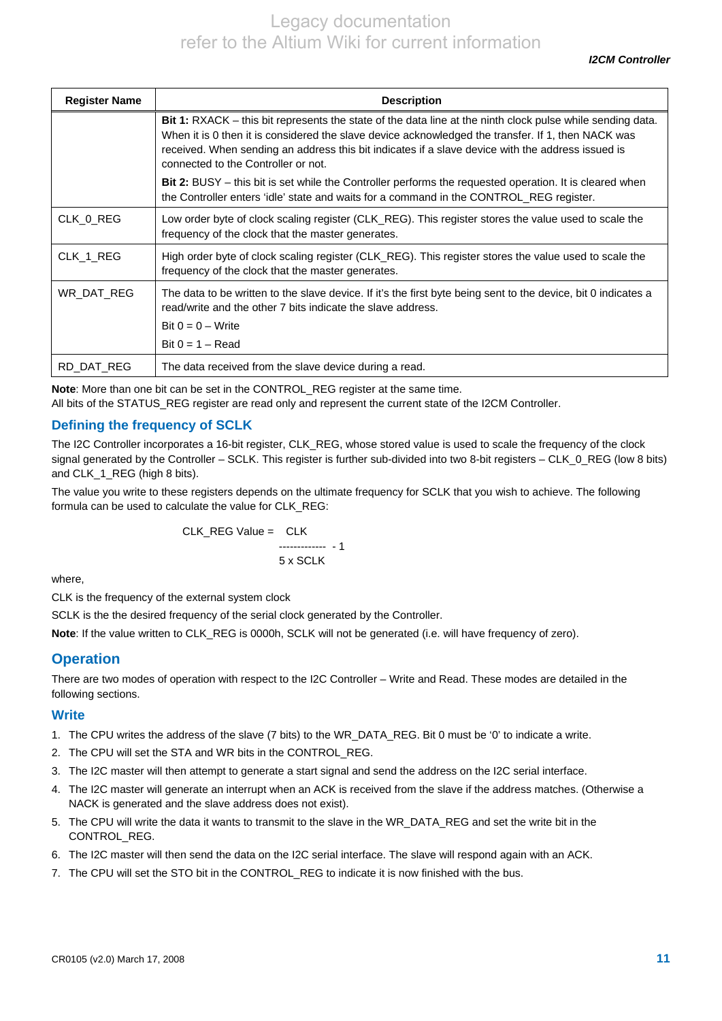| <b>Register Name</b> | <b>Description</b>                                                                                                                                                                                                                                                                                                                                                  |  |  |
|----------------------|---------------------------------------------------------------------------------------------------------------------------------------------------------------------------------------------------------------------------------------------------------------------------------------------------------------------------------------------------------------------|--|--|
|                      | <b>Bit 1:</b> RXACK – this bit represents the state of the data line at the ninth clock pulse while sending data.<br>When it is 0 then it is considered the slave device acknowledged the transfer. If 1, then NACK was<br>received. When sending an address this bit indicates if a slave device with the address issued is<br>connected to the Controller or not. |  |  |
|                      | <b>Bit 2:</b> BUSY – this bit is set while the Controller performs the requested operation. It is cleared when<br>the Controller enters 'idle' state and waits for a command in the CONTROL_REG register.                                                                                                                                                           |  |  |
| CLK_0_REG            | Low order byte of clock scaling register (CLK_REG). This register stores the value used to scale the<br>frequency of the clock that the master generates.                                                                                                                                                                                                           |  |  |
| CLK 1 REG            | High order byte of clock scaling register (CLK_REG). This register stores the value used to scale the<br>frequency of the clock that the master generates.                                                                                                                                                                                                          |  |  |
| WR DAT REG           | The data to be written to the slave device. If it's the first byte being sent to the device, bit 0 indicates a<br>read/write and the other 7 bits indicate the slave address.<br>Bit $0 = 0 - W$ rite<br>Bit $0 = 1 - Read$                                                                                                                                         |  |  |
| RD DAT REG           | The data received from the slave device during a read.                                                                                                                                                                                                                                                                                                              |  |  |

**Note**: More than one bit can be set in the CONTROL\_REG register at the same time. All bits of the STATUS\_REG register are read only and represent the current state of the I2CM Controller.

### **Defining the frequency of SCLK**

The I2C Controller incorporates a 16-bit register, CLK\_REG, whose stored value is used to scale the frequency of the clock signal generated by the Controller – SCLK. This register is further sub-divided into two 8-bit registers – CLK 0 REG (low 8 bits) and CLK\_1\_REG (high 8 bits).

The value you write to these registers depends on the ultimate frequency for SCLK that you wish to achieve. The following formula can be used to calculate the value for CLK\_REG:

CLK\_REG Value = CLK ------------- - 1 5 x SCLK

where,

CLK is the frequency of the external system clock

SCLK is the the desired frequency of the serial clock generated by the Controller.

**Note:** If the value written to CLK\_REG is 0000h, SCLK will not be generated (i.e. will have frequency of zero).

### **Operation**

There are two modes of operation with respect to the I2C Controller – Write and Read. These modes are detailed in the following sections.

### **Write**

- 1. The CPU writes the address of the slave (7 bits) to the WR\_DATA\_REG. Bit 0 must be '0' to indicate a write.
- 2. The CPU will set the STA and WR bits in the CONTROL\_REG.
- 3. The I2C master will then attempt to generate a start signal and send the address on the I2C serial interface.
- 4. The I2C master will generate an interrupt when an ACK is received from the slave if the address matches. (Otherwise a NACK is generated and the slave address does not exist).
- 5. The CPU will write the data it wants to transmit to the slave in the WR\_DATA\_REG and set the write bit in the CONTROL\_REG.
- 6. The I2C master will then send the data on the I2C serial interface. The slave will respond again with an ACK.
- 7. The CPU will set the STO bit in the CONTROL\_REG to indicate it is now finished with the bus.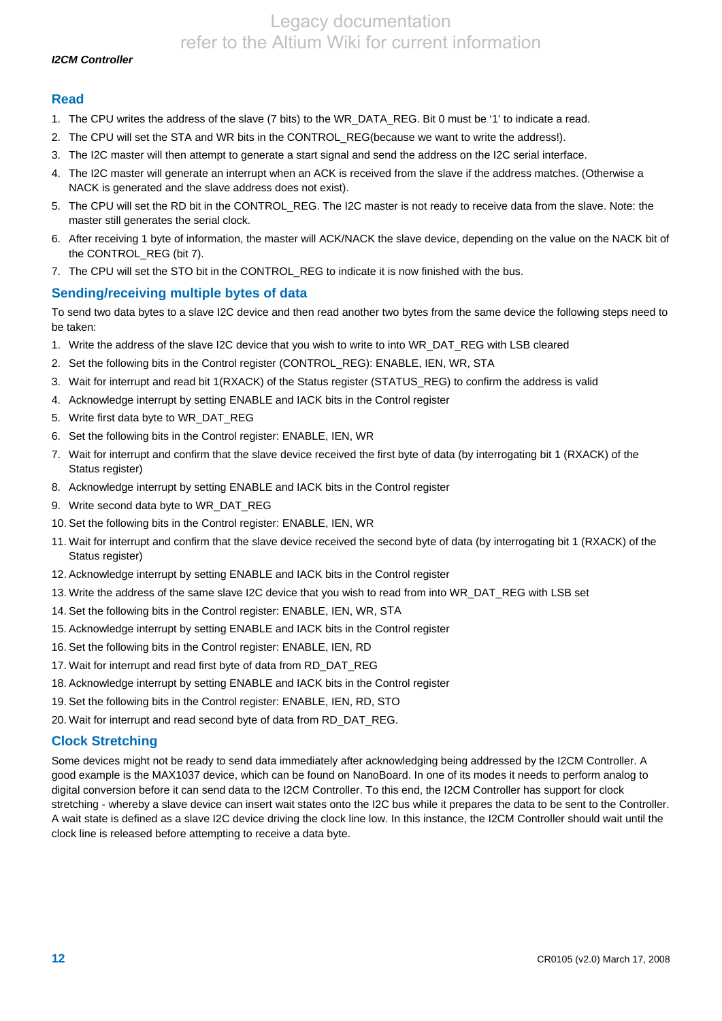#### *I2CM Controller*

### **Read**

- 1. The CPU writes the address of the slave (7 bits) to the WR\_DATA\_REG. Bit 0 must be '1' to indicate a read.
- 2. The CPU will set the STA and WR bits in the CONTROL\_REG(because we want to write the address!).
- 3. The I2C master will then attempt to generate a start signal and send the address on the I2C serial interface.
- 4. The I2C master will generate an interrupt when an ACK is received from the slave if the address matches. (Otherwise a NACK is generated and the slave address does not exist).
- 5. The CPU will set the RD bit in the CONTROL\_REG. The I2C master is not ready to receive data from the slave. Note: the master still generates the serial clock.
- 6. After receiving 1 byte of information, the master will ACK/NACK the slave device, depending on the value on the NACK bit of the CONTROL\_REG (bit 7).
- 7. The CPU will set the STO bit in the CONTROL\_REG to indicate it is now finished with the bus.

#### **Sending/receiving multiple bytes of data**

To send two data bytes to a slave I2C device and then read another two bytes from the same device the following steps need to be taken:

- 1. Write the address of the slave I2C device that you wish to write to into WR\_DAT\_REG with LSB cleared
- 2. Set the following bits in the Control register (CONTROL\_REG): ENABLE, IEN, WR, STA
- 3. Wait for interrupt and read bit 1(RXACK) of the Status register (STATUS\_REG) to confirm the address is valid
- 4. Acknowledge interrupt by setting ENABLE and IACK bits in the Control register
- 5. Write first data byte to WR\_DAT\_REG
- 6. Set the following bits in the Control register: ENABLE, IEN, WR
- 7. Wait for interrupt and confirm that the slave device received the first byte of data (by interrogating bit 1 (RXACK) of the Status register)
- 8. Acknowledge interrupt by setting ENABLE and IACK bits in the Control register
- 9. Write second data byte to WR\_DAT\_REG
- 10. Set the following bits in the Control register: ENABLE, IEN, WR
- 11. Wait for interrupt and confirm that the slave device received the second byte of data (by interrogating bit 1 (RXACK) of the Status register)
- 12. Acknowledge interrupt by setting ENABLE and IACK bits in the Control register
- 13. Write the address of the same slave I2C device that you wish to read from into WR\_DAT\_REG with LSB set
- 14. Set the following bits in the Control register: ENABLE, IEN, WR, STA
- 15. Acknowledge interrupt by setting ENABLE and IACK bits in the Control register
- 16. Set the following bits in the Control register: ENABLE, IEN, RD
- 17. Wait for interrupt and read first byte of data from RD\_DAT\_REG
- 18. Acknowledge interrupt by setting ENABLE and IACK bits in the Control register
- 19. Set the following bits in the Control register: ENABLE, IEN, RD, STO
- 20. Wait for interrupt and read second byte of data from RD\_DAT\_REG.

#### **Clock Stretching**

Some devices might not be ready to send data immediately after acknowledging being addressed by the I2CM Controller. A good example is the MAX1037 device, which can be found on NanoBoard. In one of its modes it needs to perform analog to digital conversion before it can send data to the I2CM Controller. To this end, the I2CM Controller has support for clock stretching - whereby a slave device can insert wait states onto the I2C bus while it prepares the data to be sent to the Controller. A wait state is defined as a slave I2C device driving the clock line low. In this instance, the I2CM Controller should wait until the clock line is released before attempting to receive a data byte.